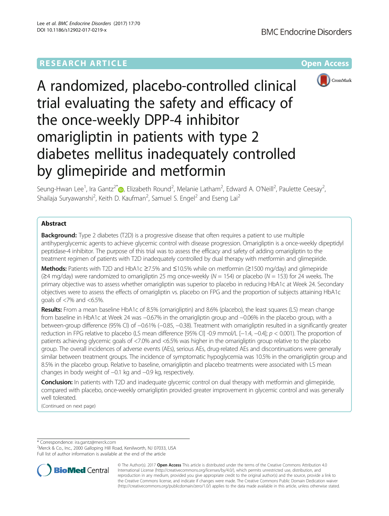# **RESEARCH ARTICLE Example 2014 12:30 The Company Access** (RESEARCH ARTICLE



# A randomized, placebo-controlled clinical trial evaluating the safety and efficacy of the once-weekly DPP-4 inhibitor omarigliptin in patients with type 2 diabetes mellitus inadequately controlled by glimepiride and metformin

Seung-Hwan Lee<sup>1</sup>[,](http://orcid.org/0000-0002-6565-7113) Ira Gantz<sup>2\*</sup> $\bullet$ , Elizabeth Round<sup>2</sup>, Melanie Latham<sup>2</sup>, Edward A. O'Neill<sup>2</sup>, Paulette Ceesay<sup>2</sup> .<br>, Shailaja Suryawanshi<sup>2</sup>, Keith D. Kaufman<sup>2</sup>, Samuel S. Engel<sup>2</sup> and Eseng Lai<sup>2</sup>

# Abstract

**Background:** Type 2 diabetes (T2D) is a progressive disease that often requires a patient to use multiple antihyperglycemic agents to achieve glycemic control with disease progression. Omarigliptin is a once-weekly dipeptidyl peptidase-4 inhibitor. The purpose of this trial was to assess the efficacy and safety of adding omarigliptin to the treatment regimen of patients with T2D inadequately controlled by dual therapy with metformin and glimepiride.

Methods: Patients with T2D and HbA1c ≥7.5% and ≤10.5% while on metformin (≥1500 mg/day) and glimepiride  $(≥4$  mg/day) were randomized to omarigliptin 25 mg once-weekly ( $N = 154$ ) or placebo ( $N = 153$ ) for 24 weeks. The primary objective was to assess whether omarigliptin was superior to placebo in reducing HbA1c at Week 24. Secondary objectives were to assess the effects of omarigliptin vs. placebo on FPG and the proportion of subjects attaining HbA1c goals of  $\langle 7\%$  and  $\langle 6.5\% \rangle$ .

Results: From a mean baseline HbA1c of 8.5% (omarigliptin) and 8.6% (placebo), the least squares (LS) mean change from baseline in HbA1c at Week 24 was −0.67% in the omarigliptin group and −0.06% in the placebo group, with a between-group difference (95% CI) of −0.61% (−0.85, −0.38). Treatment with omarigliptin resulted in a significantly greater reduction in FPG relative to placebo (LS mean difference [95% CI] -0.9 mmol/L [−1.4, −0.4]; p < 0.001). The proportion of patients achieving glycemic goals of <7.0% and <6.5% was higher in the omarigliptin group relative to the placebo group. The overall incidences of adverse events (AEs), serious AEs, drug-related AEs and discontinuations were generally similar between treatment groups. The incidence of symptomatic hypoglycemia was 10.5% in the omarigliptin group and 8.5% in the placebo group. Relative to baseline, omarigliptin and placebo treatments were associated with LS mean changes in body weight of −0.1 kg and −0.9 kg, respectively.

**Conclusion:** In patients with T2D and inadequate glycemic control on dual therapy with metformin and glimepiride, compared with placebo, once-weekly omarigliptin provided greater improvement in glycemic control and was generally well tolerated.

(Continued on next page)

\* Correspondence: [ira.gantz@merck.com](mailto:ira.gantz@merck.com) <sup>2</sup>

<sup>2</sup>Merck & Co., Inc., 2000 Galloping Hill Road, Kenilworth, NJ 07033, USA Full list of author information is available at the end of the article



© The Author(s). 2017 **Open Access** This article is distributed under the terms of the Creative Commons Attribution 4.0 International License [\(http://creativecommons.org/licenses/by/4.0/](http://creativecommons.org/licenses/by/4.0/)), which permits unrestricted use, distribution, and reproduction in any medium, provided you give appropriate credit to the original author(s) and the source, provide a link to the Creative Commons license, and indicate if changes were made. The Creative Commons Public Domain Dedication waiver [\(http://creativecommons.org/publicdomain/zero/1.0/](http://creativecommons.org/publicdomain/zero/1.0/)) applies to the data made available in this article, unless otherwise stated.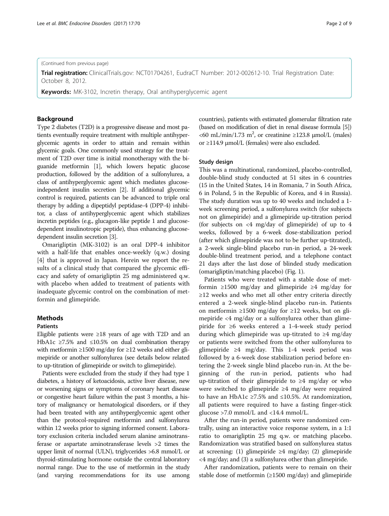#### (Continued from previous page)

Trial registration: ClinicalTrials.gov: [NCT01704261,](https://clinicaltrials.gov/ct2/show/NCT01704261) EudraCT Number: 2012-002612-10. Trial Registration Date: October 8, 2012.

Keywords: MK-3102, Incretin therapy, Oral antihyperglycemic agent

# Background

Type 2 diabetes (T2D) is a progressive disease and most patients eventually require treatment with multiple antihyperglycemic agents in order to attain and remain within glycemic goals. One commonly used strategy for the treatment of T2D over time is initial monotherapy with the biguanide metformin [\[1](#page-7-0)], which lowers hepatic glucose production, followed by the addition of a sulfonylurea, a class of antihyperglycemic agent which mediates glucoseindependent insulin secretion [\[2\]](#page-7-0). If additional glycemic control is required, patients can be advanced to triple oral therapy by adding a dipeptidyl peptidase-4 (DPP-4) inhibitor, a class of antihyperglycemic agent which stabilizes incretin peptides (e.g., glucagon-like peptide 1 and glucosedependent insulinotropic peptide), thus enhancing glucosedependent insulin secretion [\[3](#page-7-0)].

Omarigliptin (MK-3102) is an oral DPP-4 inhibitor with a half-life that enables once-weekly (q.w.) dosing [[4\]](#page-7-0) that is approved in Japan. Herein we report the results of a clinical study that compared the glycemic efficacy and safety of omarigliptin 25 mg administered q.w. with placebo when added to treatment of patients with inadequate glycemic control on the combination of metformin and glimepiride.

# **Methods**

#### **Patients**

Eligible patients were ≥18 years of age with T2D and an HbA1c ≥7.5% and ≤10.5% on dual combination therapy with metformin ≥1500 mg/day for ≥12 weeks and either glimepiride or another sulfonylurea (see details below related to up-titration of glimepiride or switch to glimepiride).

Patients were excluded from the study if they had type 1 diabetes, a history of ketoacidosis, active liver disease, new or worsening signs or symptoms of coronary heart disease or congestive heart failure within the past 3 months, a history of malignancy or hematological disorders, or if they had been treated with any antihyperglycemic agent other than the protocol-required metformin and sulfonylurea within 12 weeks prior to signing informed consent. Laboratory exclusion criteria included serum alanine aminotransferase or aspartate aminotransferase levels >2 times the upper limit of normal (ULN), triglycerides >6.8 mmol/L or thyroid-stimulating hormone outside the central laboratory normal range. Due to the use of metformin in the study (and varying recommendations for its use among

countries), patients with estimated glomerular filtration rate (based on modification of diet in renal disease formula [[5](#page-7-0)]) <60 mL/min/1.73 m<sup>2</sup>, or creatinine  $\geq$ 123.8 μmol/L (males) or ≥114.9 μmol/L (females) were also excluded.

# Study design

This was a multinational, randomized, placebo-controlled, double-blind study conducted at 51 sites in 6 countries (15 in the United States, 14 in Romania, 7 in South Africa, 6 in Poland, 5 in the Republic of Korea, and 4 in Russia). The study duration was up to 40 weeks and included a 1 week screening period, a sulfonylurea switch (for subjects not on glimepiride) and a glimepiride up-titration period (for subjects on  $\langle 4 \rangle$  mg/day of glimepiride) of up to 4 weeks, followed by a 6-week dose-stabilization period (after which glimepiride was not to be further up-titrated), a 2-week single-blind placebo run-in period, a 24-week double-blind treatment period, and a telephone contact 21 days after the last dose of blinded study medication (omarigliptin/matching placebo) (Fig. [1](#page-2-0)).

Patients who were treated with a stable dose of metformin ≥1500 mg/day and glimepiride ≥4 mg/day for ≥12 weeks and who met all other entry criteria directly entered a 2-week single-blind placebo run-in. Patients on metformin ≥1500 mg/day for ≥12 weeks, but on glimepiride <4 mg/day or a sulfonylurea other than glimepiride for ≥6 weeks entered a 1-4-week study period during which glimepiride was up-titrated to ≥4 mg/day or patients were switched from the other sulfonylurea to glimepiride ≥4 mg/day. This 1-4 week period was followed by a 6-week dose stabilization period before entering the 2-week single blind placebo run-in. At the beginning of the run-in period, patients who had up-titration of their glimepiride to ≥4 mg/day or who were switched to glimepiride ≥4 mg/day were required to have an HbA1c ≥7.5% and ≤10.5%. At randomization, all patients were required to have a fasting finger-stick glucose  $>7.0$  mmol/L and  $<14.4$  mmol/L.

After the run-in period, patients were randomized centrally, using an interactive voice response system, in a 1:1 ratio to omarigliptin 25 mg q.w. or matching placebo. Randomization was stratified based on sulfonylurea status at screening: (1) glimepiride ≥4 mg/day; (2) glimepiride <4 mg/day; and (3) a sulfonylurea other than glimepiride.

After randomization, patients were to remain on their stable dose of metformin  $(\geq 1500 \text{ mg/day})$  and glimepiride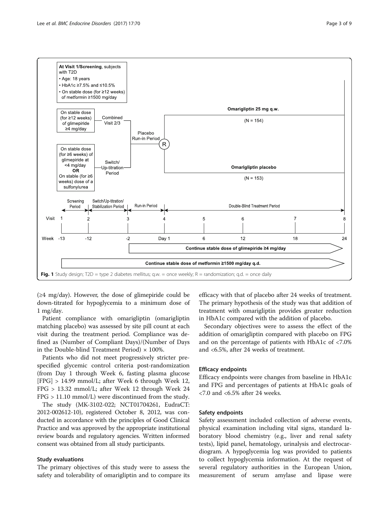<span id="page-2-0"></span>

 $(\geq 4 \text{ mg/day})$ . However, the dose of glimepiride could be down-titrated for hypoglycemia to a minimum dose of 1 mg/day.

Patient compliance with omarigliptin (omarigliptin matching placebo) was assessed by site pill count at each visit during the treatment period. Compliance was defined as (Number of Compliant Days)/(Number of Days in the Double-blind Treatment Period)  $\times$  100%.

Patients who did not meet progressively stricter prespecified glycemic control criteria post-randomization (from Day 1 through Week 6, fasting plasma glucose [FPG] > 14.99 mmol/L; after Week 6 through Week 12, FPG > 13.32 mmol/L; after Week 12 through Week 24 FPG > 11.10 mmol/L) were discontinued from the study.

The study (MK-3102-022; NCT01704261, EudraCT: 2012-002612-10), registered October 8, 2012, was conducted in accordance with the principles of Good Clinical Practice and was approved by the appropriate institutional review boards and regulatory agencies. Written informed consent was obtained from all study participants.

## Study evaluations

The primary objectives of this study were to assess the safety and tolerability of omarigliptin and to compare its

efficacy with that of placebo after 24 weeks of treatment. The primary hypothesis of the study was that addition of treatment with omarigliptin provides greater reduction in HbA1c compared with the addition of placebo.

Secondary objectives were to assess the effect of the addition of omarigliptin compared with placebo on FPG and on the percentage of patients with HbA1c of <7.0% and <6.5%, after 24 weeks of treatment.

# Efficacy endpoints

Efficacy endpoints were changes from baseline in HbA1c and FPG and percentages of patients at HbA1c goals of  $< 7.0$  and  $< 6.5\%$  after 24 weeks.

# Safety endpoints

Safety assessment included collection of adverse events, physical examination including vital signs, standard laboratory blood chemistry (e.g., liver and renal safety tests), lipid panel, hematology, urinalysis and electrocardiogram. A hypoglycemia log was provided to patients to collect hypoglycemia information. At the request of several regulatory authorities in the European Union, measurement of serum amylase and lipase were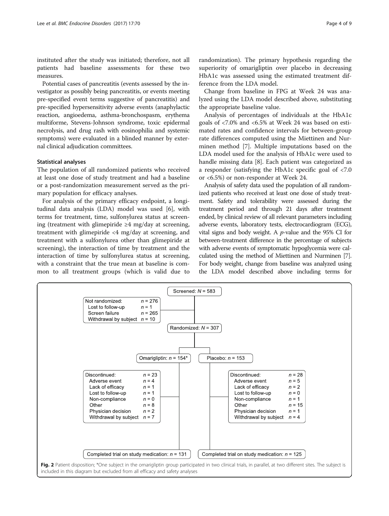<span id="page-3-0"></span>instituted after the study was initiated; therefore, not all patients had baseline assessments for these two measures.

Potential cases of pancreatitis (events assessed by the investigator as possibly being pancreatitis, or events meeting pre-specified event terms suggestive of pancreatitis) and pre-specified hypersensitivity adverse events (anaphylactic reaction, angioedema, asthma-bronchospasm, erythema multiforme, Stevens-Johnson syndrome, toxic epidermal necrolysis, and drug rash with eosinophilia and systemic symptoms) were evaluated in a blinded manner by external clinical adjudication committees.

## Statistical analyses

The population of all randomized patients who received at least one dose of study treatment and had a baseline or a post-randomization measurement served as the primary population for efficacy analyses.

For analysis of the primary efficacy endpoint, a longitudinal data analysis (LDA) model was used [\[6](#page-7-0)], with terms for treatment, time, sulfonylurea status at screening (treatment with glimepiride ≥4 mg/day at screening, treatment with glimepiride <4 mg/day at screening, and treatment with a sulfonylurea other than glimepiride at screening), the interaction of time by treatment and the interaction of time by sulfonylurea status at screening, with a constraint that the true mean at baseline is common to all treatment groups (which is valid due to

Not randomized:

Discontinued:

Adverse event

Lack of efficacy

Lost to follow-up

Non-compliance

Lost to follow-up Screen failure

Withdrawal by subject  $n = 10$ 

randomization). The primary hypothesis regarding the superiority of omarigliptin over placebo in decreasing HbA1c was assessed using the estimated treatment difference from the LDA model.

Change from baseline in FPG at Week 24 was analyzed using the LDA model described above, substituting the appropriate baseline value.

Analysis of percentages of individuals at the HbA1c goals of <7.0% and <6.5% at Week 24 was based on estimated rates and confidence intervals for between-group rate differences computed using the Miettinen and Nurminen method [[7\]](#page-7-0). Multiple imputations based on the LDA model used for the analysis of HbA1c were used to handle missing data [[8](#page-7-0)]. Each patient was categorized as a responder (satisfying the HbA1c specific goal of <7.0 or <6.5%) or non-responder at Week 24.

Analysis of safety data used the population of all randomized patients who received at least one dose of study treatment. Safety and tolerability were assessed during the treatment period and through 21 days after treatment ended, by clinical review of all relevant parameters including adverse events, laboratory tests, electrocardiogram (ECG), vital signs and body weight. A  $p$ -value and the 95% CI for between-treatment difference in the percentage of subjects with adverse events of symptomatic hypoglycemia were calculated using the method of Miettinen and Nurminen [\[7](#page-7-0)]. For body weight, change from baseline was analyzed using the LDA model described above including terms for

 $n = 28$ 

 $n = 5$ 

 $n = 2$ 

 $n = 0$ 

 $n = 1$ 



Screened:  $N = 583$ 

Randomized:  $N = 307$ 

Placebo:  $n = 153$ 

Discontinued:

Adverse event

Lack of efficacy

Lost to follow-up

Non-compliance

 $n = 276$ 

 $n = 265$ 

 $n = 23$ 

 $n = 4$ 

 $n = 1$ 

 $n = 1$ 

 $n = 0$ 

Omarigliptin:  $n = 154*$ 

 $n = 1$ 

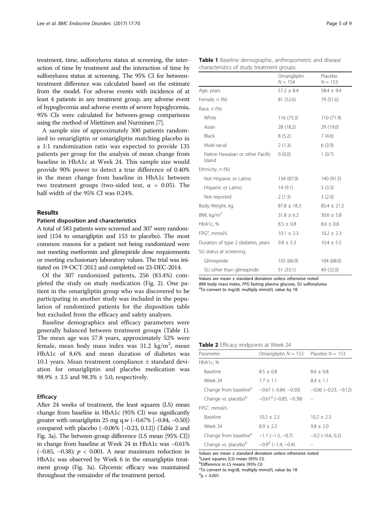<span id="page-4-0"></span>treatment, time, sulfonylurea status at screening, the interaction of time by treatment and the interaction of time by sulfonylurea status at screening. The 95% CI for betweentreatment difference was calculated based on the estimate from the model. For adverse events with incidence of at least 4 patients in any treatment group, any adverse event of hypoglycemia and adverse events of severe hypoglycemia, 95% CIs were calculated for between-group comparisons using the method of Miettinen and Nurminen [\[7\]](#page-7-0).

A sample size of approximately 300 patients randomized to omarigliptin or omarigliptin matching placebo in a 1:1 randomization ratio was expected to provide 135 patients per group for the analysis of mean change from baseline in HbA1c at Week 24. This sample size would provide 90% power to detect a true difference of 0.40% in the mean change from baseline in HbA1c between two treatment groups (two-sided test,  $\alpha = 0.05$ ). The half-width of the 95% CI was 0.24%.

# Results

# Patient disposition and characteristics

A total of 583 patients were screened and 307 were randomized (154 to omarigliptin and 153 to placebo). The most common reasons for a patient not being randomized were not meeting metformin and glimepiride dose requirements or meeting exclusionary laboratory values. The trial was initiated on 19-OCT-2012 and completed on 23-DEC-2014.

Of the 307 randomized patients, 256 (83.4%) completed the study on study medication (Fig. [2](#page-3-0)). One patient in the omarigliptin group who was discovered to be participating in another study was included in the population of randomized patients for the disposition table but excluded from the efficacy and safety analyses.

Baseline demographics and efficacy parameters were generally balanced between treatment groups (Table 1). The mean age was 57.8 years, approximately 52% were female, mean body mass index was  $31.2 \text{ kg/m}^2$ , mean HbA1c of 8.6% and mean duration of diabetes was 10.1 years. Mean treatment compliance ± standard deviation for omarigliptin and placebo medication was 98.9% ± 3.5 and 98.3% ± 5.0, respectively.

### Efficacy

After 24 weeks of treatment, the least squares (LS) mean change from baseline in HbA1c (95% CI) was significantly greater with omarigliptin 25 mg q.w  $(-0.67\%$  [ $-0.84, -0.50$ ]) compared with placebo (−0.06% [−0.23, 0.12]) (Table 2 and Fig. [3a](#page-5-0)). The between-group difference (LS mean [95% CI]) in change from baseline at Week 24 in HbA1c was −0.61% (−0.85, −0.38); p < 0.001. A near maximum reduction in HbA1c was observed by Week 6 in the omarigliptin treatment group (Fig. [3a](#page-5-0)). Glycemic efficacy was maintained throughout the remainder of the treatment period.

|                                            | $N = 154$       | $N = 153$       |
|--------------------------------------------|-----------------|-----------------|
| Age, years                                 | $57.2 \pm 8.4$  | $58.4 \pm 9.4$  |
| Female, n (%)                              | 81 (52.6)       | 79 (51.6)       |
| Race, n (%)                                |                 |                 |
| White                                      | 116(75.3)       | 110 (71.9)      |
| Asian                                      | 28 (18.2)       | 29 (19.0)       |
| Black                                      | 8(5.2)          | 7(4.6)          |
| Multi-racial                               | 2(1.3)          | 6(3.9)          |
| Native Hawaiian or other Pacific<br>Island | 0(0.0)          | 1(0.7)          |
| Ethnicity, n (%)                           |                 |                 |
| Not Hispanic or Latino                     | 134 (87.0)      | 140 (91.5)      |
| Hispanic or Latino                         | 14(9.1)         | 5(3.3)          |
| Not reported                               | 2(1.3)          | 3(2.0)          |
| Body Weight, kg                            | $87.8 \pm 18.3$ | $85.4 \pm 21.2$ |
| BMI, $kg/m2$                               | $31.8 \pm 6.2$  | $30.6 \pm 5.8$  |
| HbA1c, %                                   | $8.5 \pm 0.8$   | $8.6 \pm 0.8$   |
| FPG <sup>a</sup> , mmol/L                  | $10.1 \pm 2.3$  | $10.2 \pm 2.3$  |
| Duration of type 2 diabetes, years         | $9.8 \pm 5.3$   | $10.4 \pm 5.5$  |
| SU status at screening                     |                 |                 |
| Glimepiride                                | 103 (66.9)      | 104 (68.0)      |
| SU other than glimepiride                  | 51(33.1)        | 49 (32.0)       |
|                                            |                 |                 |

Values are mean ± standard deviation unless otherwise noted BMI body mass index, FPG fasting plasma glucose, SU sulfonylurea <sup>a</sup>To convert to mg/dL multiply mmol/L value by 18

Table 2 Efficacy endpoints at Week 24

| Parameter                         | Omarigliptin $N = 153$        | Placebo $N = 153$             |
|-----------------------------------|-------------------------------|-------------------------------|
| HbA1c, %                          |                               |                               |
| Baseline                          | $8.5 + 0.8$                   | $8.6 + 0.8$                   |
| Week 24                           | $7.7 + 1.1$                   | $8.4 \pm 1.1$                 |
| Change from baseline <sup>a</sup> | $-0.67$ ( $-0.84$ , $-0.50$ ) | $-0.06$ ( $-0.23$ , $-0.12$ ) |
| Change vs. placebo <sup>b</sup>   | $-0.61^d$ (-0.85, -0.38)      |                               |
| FPG <sup>c</sup> , mmol/L         |                               |                               |
| Baseline                          | $10.2 + 2.3$                  | $10.2 + 2.3$                  |
| Week 24                           | $8.9 + 2.2$                   | $9.8 + 2.0$                   |
| Change from baseline <sup>a</sup> | $-1.1$ $(-1.5, -0.7)$         | $-0.2$ $(-0.6, 0.2)$          |
| Change vs. placebo <sup>b</sup>   | $-0.9d$ (-1.4, -0.4)          |                               |

Values are mean ± standard deviation unless otherwise noted a Least squares (LS) mean (95% CI)

b Difference in LS means (95% CI)

<sup>c</sup>To convert to mg/dL multiply mmol/L value by 18

 $\rm ^{d}p < 0.001$ 

Placebo

| <b>Table 1</b> Baseline demographic, anthropometric and disease |  |  |
|-----------------------------------------------------------------|--|--|
| characteristics of study treatment groups                       |  |  |

Omarigliptin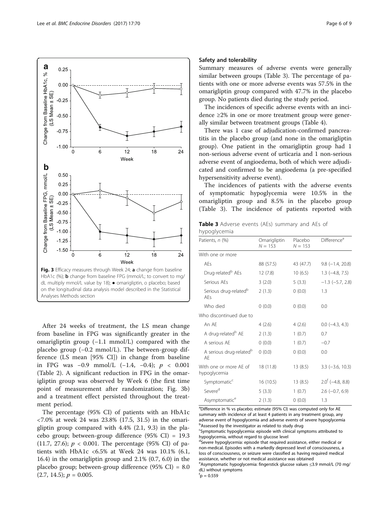

<span id="page-5-0"></span>

After 24 weeks of treatment, the LS mean change from baseline in FPG was significantly greater in the omarigliptin group (−1.1 mmol/L) compared with the placebo group (−0.2 mmol/L). The between-group difference (LS mean [95% CI]) in change from baseline in FPG was  $-0.9$  mmol/L  $(-1.4, -0.4)$ ;  $p < 0.001$ (Table [2](#page-4-0)). A significant reduction in FPG in the omarigliptin group was observed by Week 6 (the first time point of measurement after randomization; Fig. 3b) and a treatment effect persisted throughout the treatment period.

The percentage (95% CI) of patients with an HbA1c <7.0% at week 24 was 23.8% (17.5, 31.5) in the omarigliptin group compared with 4.4% (2.1, 9.3) in the placebo group; between-group difference (95% CI) = 19.3 (11.7, 27.6);  $p < 0.001$ . The percentage (95% CI) of patients with HbA1c <6.5% at Week 24 was 10.1% (6.1, 16.4) in the omarigliptin group and 2.1% (0.7, 6.0) in the placebo group; between-group difference (95% CI) = 8.0  $(2.7, 14.5); p = 0.005.$ 

# Safety and tolerability

Summary measures of adverse events were generally similar between groups (Table 3). The percentage of patients with one or more adverse events was 57.5% in the omarigliptin group compared with 47.7% in the placebo group. No patients died during the study period.

The incidences of specific adverse events with an incidence ≥2% in one or more treatment group were generally similar between treatment groups (Table [4\)](#page-6-0).

There was 1 case of adjudication-confirmed pancreatitis in the placebo group (and none in the omarigliptin group). One patient in the omarigliptin group had 1 non-serious adverse event of urticaria and 1 non-serious adverse event of angioedema, both of which were adjudicated and confirmed to be angioedema (a pre-specified hypersensitivity adverse event).

The incidences of patients with the adverse events of symptomatic hypoglycemia were 10.5% in the omarigliptin group and 8.5% in the placebo group (Table 3). The incidence of patients reported with

Table 3 Adverse events (AEs) summary and AEs of hypoglycemia

| Patients, n (%)                           | Omarigliptin<br>$N = 153$ | Placebo<br>$N = 153$ | Difference <sup>a</sup>        |
|-------------------------------------------|---------------------------|----------------------|--------------------------------|
| With one or more                          |                           |                      |                                |
| AFs                                       | 88 (57.5)                 | 43 (47.7)            | $9.8(-1.4, 20.8)$              |
| Drug-related <sup>b</sup> AEs             | 12 (7.8)                  | 10(6.5)              | $1.3$ ( $-4.8$ , $7.5$ )       |
| Serious AFs                               | 3(2.0)                    | 5(3.3)               | $-1.3$ ( $-5.7$ , 2.8)         |
| Serious drug-related <sup>b</sup><br>AFs  | 2(1.3)                    | 0(0.0)               | 1.3                            |
| Who died                                  | 0(0.0)                    | 0(0.0)               | 0.0                            |
| Who discontinued due to                   |                           |                      |                                |
| An AF                                     | 4(2.6)                    | 4(2.6)               | $0.0$ ( $-4.3$ , $4.3$ )       |
| A drug-related <sup>b</sup> AE            | 2(1.3)                    | 1(0.7)               | 0.7                            |
| A serious AF                              | 0(0.0)                    | 1(0.7)               | $-0.7$                         |
| A serious drug-related <sup>b</sup><br>AF | 0(0.0)                    | 0(0.0)               | 0.0                            |
| With one or more AF of<br>hypoglycemia    | 18 (11.8)                 | 13(8.5)              | $3.3$ (-3.6, 10.3)             |
| Symptomatic <sup>c</sup>                  | 16 (10.5)                 | 13(8.5)              | $2.0^{\mathrm{f}}$ (-4.8, 8.8) |
| Severe <sup>d</sup>                       | 5(3.3)                    | 1(0.7)               | $2.6$ (-0.7, 6.9)              |
| Asymptomatic <sup>e</sup>                 | 2(1.3)                    | 0(0.0)               | 1.3                            |

<sup>a</sup>Difference in % vs placebo; estimate (95% CI) was computed only for AE summary with incidence of at least 4 patients in any treatment group, any adverse event of hypoglycemia and adverse events of severe hypoglycemia <sup>b</sup>Assessed by the investigator as related to study drug

c Symptomatic hypoglycemia: episode with clinical symptoms attributed to hypoglycemia, without regard to glucose level

dSevere hypoglycemia: episode that required assistance, either medical or non-medical. Episodes with a markedly depressed level of consciousness, a loss of consciousness, or seizure were classified as having required medical assistance, whether or not medical assistance was obtained

<sup>e</sup>Asymptomatic hypoglycemia: fingerstick glucose values ≤3.9 mmol/L (70 mg/ dL) without symptoms

 $p = 0.559$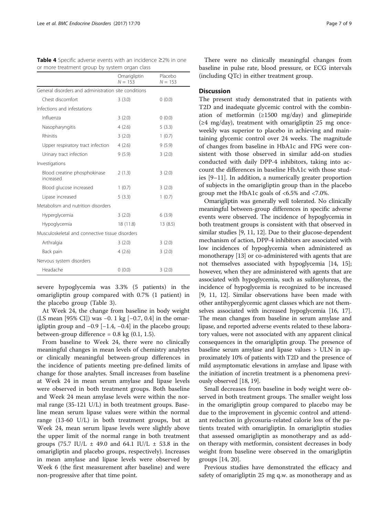|                                                      | Omarigliptin<br>$N = 153$ | Placebo<br>$N = 153$ |  |  |
|------------------------------------------------------|---------------------------|----------------------|--|--|
| General disorders and administration site conditions |                           |                      |  |  |
| Chest discomfort                                     | 3(3.0)                    | 0(0.0)               |  |  |
| Infections and infestations                          |                           |                      |  |  |
| Influenza                                            | 3(2.0)                    | 0(0.0)               |  |  |
| Nasopharyngitis                                      | 4(2.6)                    | 5(3.3)               |  |  |
| Rhinitis                                             | 3(2.0)                    | 1(0.7)               |  |  |
| Upper respiratory tract infection                    | 4(2.6)                    | 9(5.9)               |  |  |
| Urinary tract infection                              | 9(5.9)                    | 3(2.0)               |  |  |
| Investigations                                       |                           |                      |  |  |
| Blood creatine phosphokinase<br>increased            | 2(1.3)                    | 3(2.0)               |  |  |
| Blood glucose increased                              | 1(0.7)                    | 3(2.0)               |  |  |
| Lipase increased                                     | 5(3.3)                    | 1(0.7)               |  |  |
| Metabolism and nutrition disorders                   |                           |                      |  |  |
| Hyperglycemia                                        | 3(2.0)                    | 6(3.9)               |  |  |
| Hypoglycemia                                         | 18 (11.8)                 | 13(8.5)              |  |  |
| Musculoskeletal and connective tissue disorders      |                           |                      |  |  |
| Arthralgia                                           | 3(2.0)                    | 3(2.0)               |  |  |
| Back pain                                            | 4(2.6)                    | 3(2.0)               |  |  |
| Nervous system disorders                             |                           |                      |  |  |
| Headache                                             | 0(0.0)                    | 3(2.0)               |  |  |

<span id="page-6-0"></span>Table 4 Specific adverse events with an incidence ≥2% in one or more treatment group by system organ class

severe hypoglycemia was 3.3% (5 patients) in the omarigliptin group compared with 0.7% (1 patient) in the placebo group (Table [3\)](#page-5-0).

At Week 24, the change from baseline in body weight (LS mean [95% CI]) was −0. 1 kg [−0.7, 0.4] in the omarigliptin group and  $-0.9$  [ $-1.4$ ,  $-0.4$ ] in the placebo group; between-group difference =  $0.8 \text{ kg}$  (0.1, 1.5).

From baseline to Week 24, there were no clinically meaningful changes in mean levels of chemistry analytes or clinically meaningful between-group differences in the incidence of patients meeting pre-defined limits of change for those analytes. Small increases from baseline at Week 24 in mean serum amylase and lipase levels were observed in both treatment groups. Both baseline and Week 24 mean amylase levels were within the normal range (35-121 U/L) in both treatment groups. Baseline mean serum lipase values were within the normal range (13-60 U/L) in both treatment groups, but at Week 24, mean serum lipase levels were slightly above the upper limit of the normal range in both treatment groups (75.7 IU/L  $\pm$  49.0 and 64.1 IU/L  $\pm$  53.8 in the omarigliptin and placebo groups, respectively). Increases in mean amylase and lipase levels were observed by Week 6 (the first measurement after baseline) and were non-progressive after that time point.

There were no clinically meaningful changes from baseline in pulse rate, blood pressure, or ECG intervals (including QTc) in either treatment group.

# **Discussion**

The present study demonstrated that in patients with T2D and inadequate glycemic control with the combination of metformin  $(\geq 1500 \text{ mg/day})$  and glimepiride  $(\geq 4 \text{ mg/day})$ , treatment with omarigliptin 25 mg onceweekly was superior to placebo in achieving and maintaining glycemic control over 24 weeks. The magnitude of changes from baseline in HbA1c and FPG were consistent with those observed in similar add-on studies conducted with daily DPP-4 inhibitors, taking into account the differences in baseline HbA1c with those studies [\[9](#page-7-0)–[11\]](#page-8-0). In addition, a numerically greater proportion of subjects in the omarigliptin group than in the placebo group met the HbA1c goals of <6.5% and <7.0%.

Omarigliptin was generally well tolerated. No clinically meaningful between-group differences in specific adverse events were observed. The incidence of hypoglycemia in both treatment groups is consistent with that observed in similar studies [[9](#page-7-0), [11](#page-8-0), [12\]](#page-8-0). Due to their glucose-dependent mechanism of action, DPP-4 inhibitors are associated with low incidences of hypoglycemia when administered as monotherapy [\[13\]](#page-8-0) or co-administered with agents that are not themselves associated with hypoglycemia [\[14, 15](#page-8-0)]; however, when they are administered with agents that are associated with hypoglycemia, such as sulfonylureas, the incidence of hypoglycemia is recognized to be increased [[9,](#page-7-0) [11, 12\]](#page-8-0). Similar observations have been made with other antihyperglycemic agent classes which are not themselves associated with increased hypoglycemia [[16](#page-8-0), [17](#page-8-0)]. The mean changes from baseline in serum amylase and lipase, and reported adverse events related to these laboratory values, were not associated with any apparent clinical consequences in the omarigliptin group. The presence of baseline serum amylase and lipase values > ULN in approximately 10% of patients with T2D and the presence of mild asymptomatic elevations in amylase and lipase with the initiation of incretin treatment is a phenomena previously observed [[18](#page-8-0), [19\]](#page-8-0).

Small decreases from baseline in body weight were observed in both treatment groups. The smaller weight loss in the omarigliptin group compared to placebo may be due to the improvement in glycemic control and attendant reduction in glycosuria-related calorie loss of the patients treated with omarigliptin. In omarigliptin studies that assessed omarigliptin as monotherapy and as addon therapy with metformin, consistent decreases in body weight from baseline were observed in the omarigliptin groups [[14](#page-8-0), [20](#page-8-0)].

Previous studies have demonstrated the efficacy and safety of omarigliptin 25 mg q.w. as monotherapy and as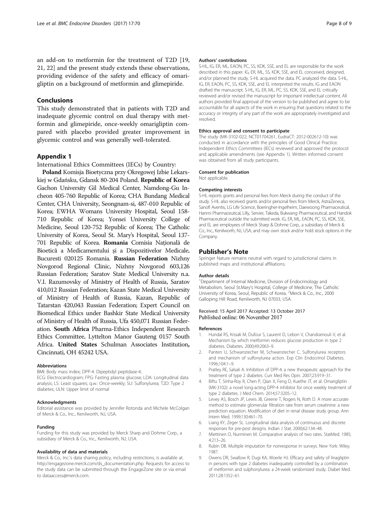<span id="page-7-0"></span>an add-on to metformin for the treatment of T2D [[19](#page-8-0), [21, 22](#page-8-0)] and the present study extends these observations, providing evidence of the safety and efficacy of omarigliptin on a background of metformin and glimepiride.

# Conclusions

This study demonstrated that in patients with T2D and inadequate glycemic control on dual therapy with metformin and glimepiride, once-weekly omarigliptin compared with placebo provided greater improvement in glycemic control and was generally well-tolerated.

# Appendix 1

International Ethics Committees (IECs) by Country:

Poland Komisja Bioetyczna przy Okregowej Izbie Lekarskiej w Gdańsku, Gdansk 80-204 Poland. Republic of Korea Gachon University Gil Medical Center, Namdong-Gu Incheon 405-760 Republic of Korea; CHA Bundang Medical Center, CHA University, Seongnam-si, 487-010 Republic of Korea; EWHA Womans University Hospital, Seoul 158- 710 Republic of Korea; Yonsei University College of Medicine, Seoul 120-752 Republic of Korea; The Catholic University of Korea, Seoul St. Mary's Hospital, Seoul 137- 701 Republic of Korea. Romania Comisia Naţională de Bioetică a Medicamentului şi a Dispozitivelor Medicale, Bucuresti 020125 Romania. Russian Federation Nizhny Novgorod Regional Clinic, Nizhny Novgorod 603,126 Russian Federation; Saratov State Medical University n.a. V.I. Razumovsky of Ministry of Health of Russia, Saratov 410,012 Russian Federation; Kazan State Medical University of Ministry of Health of Russia, Kazan, Republic of Tatarstan 420,043 Russian Federation; Expert Council on Biomedical Ethics under Bashkir State Medical University of Ministry of Health of Russia, Ufa 450,071 Russian Federation. South Africa Pharma-Ethics Independent Research Ethics Committee, Lyttelton Manor Gauteng 0157 South Africa. United States Schulman Associates Institution, Cincinnati, OH 45242 USA.

#### Abbreviations

BMI: Body mass index; DPP-4: Dipeptidyl peptidase-4; ECG: Electrocardiogram; FPG: Fasting plasma glucose; LDA: Longitudinal data analysis; LS: Least squares; q.w.: Once-weekly; SU: Sulfonylurea; T2D: Type 2 diabetes; ULN: Upper limit of normal

#### Acknowledgments

Editorial assistance was provided by Jennifer Rotonda and Michele McColgan of Merck & Co., Inc., Kenilworth, NJ, USA.

#### Funding

Funding for this study was provided by Merck Sharp and Dohme Corp., a subsidiary of Merck & Co., Inc., Kenilworth, NJ, USA.

#### Availability of data and materials

Merck & Co., Inc.'s data sharing policy, including restrictions, is available at. [http://engagezone.merck.com/ds\\_documentation.php.](http://engagezone.merck.com/ds_documentation.php) Requests for access to the study data can be submitted through the EngageZone site or via email to dataaccess@merck.com.

#### Authors' contributions

S-HL, IG, ER, ML, EAON, PC, SS, KDK, SSE, and EL are responsible for the work described in this paper. IG, ER, ML, SS, KDK, SSE, and EL conceived, designed, and/or planned the study. S-HL acquired the data. PC analyzed the data. S-HL, IG, ER, EAON, PC, SS, KDK, SSE, and EL interpreted the results. IG and EAON drafted the manuscript. S-HL, IG, ER, ML, PC, SS, KDK, SSE, and EL critically reviewed and/or revised the manuscript for important intellectual content. All authors provided final approval of the version to be published and agree to be accountable for all aspects of the work in ensuring that questions related to the accuracy or integrity of any part of the work are appropriately investigated and resolved.

#### Ethics approval and consent to participate

The study (MK-3102-022; NCT01704261, EudraCT: 2012-002612-10) was conducted in accordance with the principles of Good Clinical Practice. Independent Ethics Committees (IECs) reviewed and approved the protocol and applicable amendments (see Appendix 1). Written informed consent was obtained from all study participants.

#### Consent for publication

Not applicable.

#### Competing interests

S-HL reports grants and personal fees from Merck during the conduct of the study. S-HL also received grants and/or personal fees from Merck, AstraZeneca, Sanofi Aventis, LG Life Science, Boeringher-Ingelheim, Daewoong Pharmaceutical, Hanmi Pharmaceutical, Lilly, Servier, Takeda, Bukwang Pharmaceutical, and Handok Pharmaceutical outside the submitted work. IG, ER, ML, EAON, PC, SS, KDK, SSE, and EL are employees of Merck Sharp & Dohme Corp., a subsidiary of Merck & Co., Inc., Kenilworth, NJ, USA, and may own stock and/or hold stock options in the Company.

#### Publisher's Note

Springer Nature remains neutral with regard to jurisdictional claims in published maps and institutional affiliations.

#### Author details

<sup>1</sup>Department of Internal Medicine, Division of Endocrinology and Metabolism, Seoul St.Mary's Hospital, College of Medicine, The Catholic University of Korea, Seoul, Republic of Korea. <sup>2</sup>Merck & Co., Inc., 2000 Galloping Hill Road, Kenilworth, NJ 07033, USA.

# Received: 15 April 2017 Accepted: 13 October 2017

#### References

- 1. Hundal RS, Krssak M, Dufour S, Laurent D, Lebon V, Chandramouli V, et al. Mechanism by which metformin reduces glucose production in type 2 diabetes. Diabetes. 2000;49:2063–9.
- 2. Panten U, Schwanstecher M, Schwanstecher C. Sulfonylurea receptors and mechanism of sulfonylurea action. Exp Clin Endocrinol Diabetes. 1996;104:1–9.
- 3. Pratley RE, Salsali A. Inhibition of DPP-4: a new therapeutic approach for the treatment of type 2 diabetes. Curr Med Res Opin. 2007;23:919–31.
- 4. Biftu T, Sinha-Roy R, Chen P, Qian X, Feng D, Kuethe JT, et al. Omarigliptin (MK-3102): a novel long-acting DPP-4 inhibitor for once weekly treatment of type 2 diabetes. J Med Chem. 2014;57:3205–12.
- 5. Levey AS, Bosch JP, Lewis JB, Greene T, Rogers N, Roth D. A more accurate method to estimate glomerular filtration rate from serum creatinine: a new prediction equation. Modification of diet in renal disease study group. Ann Intern Med. 1999;130:461–70.
- 6. Liang KY, Zeger SL. Longitudinal data analysis of continuous and discrete responses for pre-post designs. Indian J Stat. 2000;62:134–48.
- 7. Miettinen O, Nurminen M. Comparative analysis of two rates. StatMed. 1985; 4:213–26.
- 8. Rubin DB. Multiple imputation for nonresponse in surveys. New York: Wiley; 1987.
- 9. Owens DR, Swallow R, Dugi KA, Woerle HJ. Efficacy and safety of linagliptin in persons with type 2 diabetes inadequately controlled by a combination of metformin and sulphonylurea: a 24-week randomized study. Diabet Med. 2011;28:1352–61.